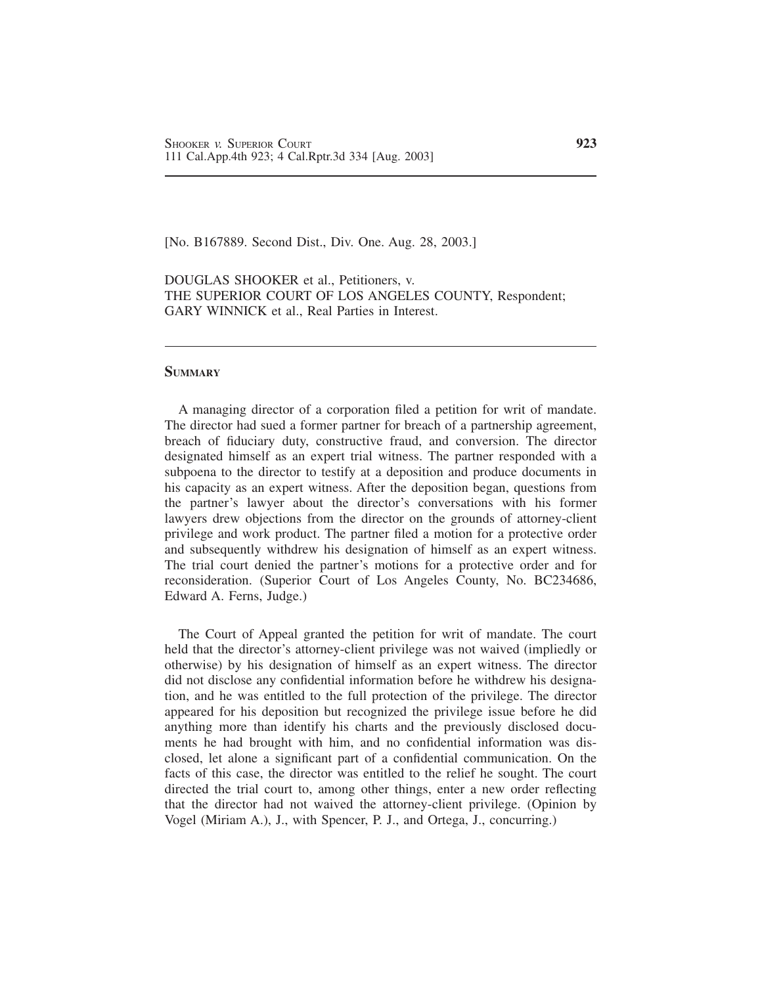[No. B167889. Second Dist., Div. One. Aug. 28, 2003.]

DOUGLAS SHOOKER et al., Petitioners, v. THE SUPERIOR COURT OF LOS ANGELES COUNTY, Respondent; GARY WINNICK et al., Real Parties in Interest.

### **SUMMARY**

A managing director of a corporation filed a petition for writ of mandate. The director had sued a former partner for breach of a partnership agreement, breach of fiduciary duty, constructive fraud, and conversion. The director designated himself as an expert trial witness. The partner responded with a subpoena to the director to testify at a deposition and produce documents in his capacity as an expert witness. After the deposition began, questions from the partner's lawyer about the director's conversations with his former lawyers drew objections from the director on the grounds of attorney-client privilege and work product. The partner filed a motion for a protective order and subsequently withdrew his designation of himself as an expert witness. The trial court denied the partner's motions for a protective order and for reconsideration. (Superior Court of Los Angeles County, No. BC234686, Edward A. Ferns, Judge.)

The Court of Appeal granted the petition for writ of mandate. The court held that the director's attorney-client privilege was not waived (impliedly or otherwise) by his designation of himself as an expert witness. The director did not disclose any confidential information before he withdrew his designation, and he was entitled to the full protection of the privilege. The director appeared for his deposition but recognized the privilege issue before he did anything more than identify his charts and the previously disclosed documents he had brought with him, and no confidential information was disclosed, let alone a significant part of a confidential communication. On the facts of this case, the director was entitled to the relief he sought. The court directed the trial court to, among other things, enter a new order reflecting that the director had not waived the attorney-client privilege. (Opinion by Vogel (Miriam A.), J., with Spencer, P. J., and Ortega, J., concurring.)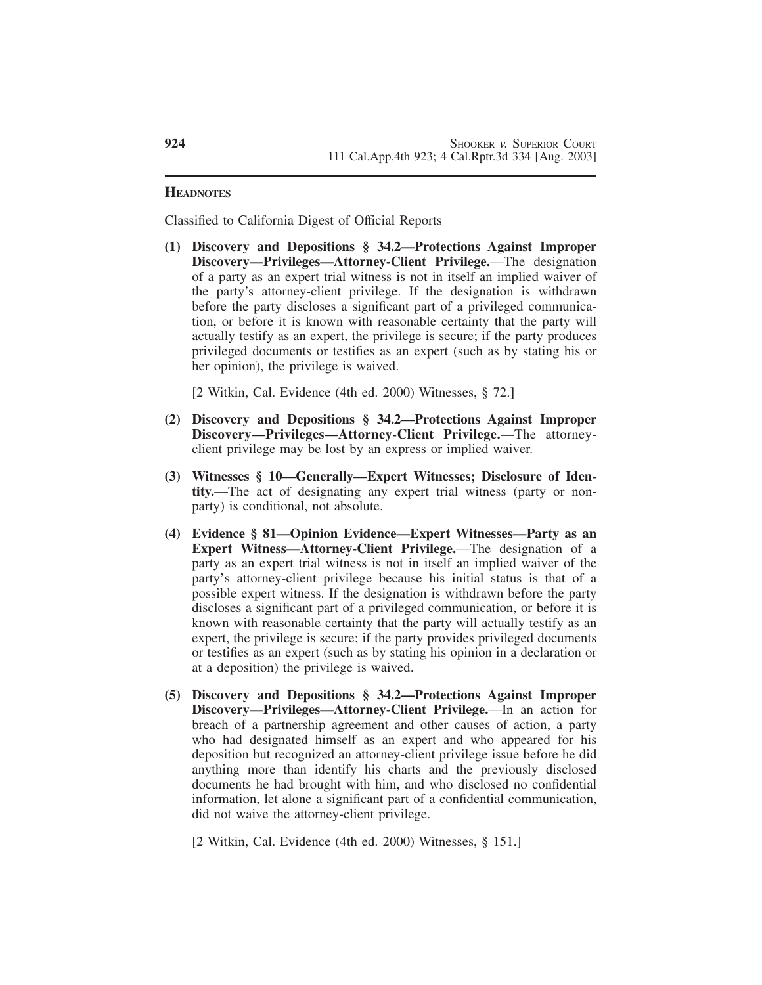## **HEADNOTES**

Classified to California Digest of Official Reports

**(1) Discovery and Depositions § 34.2—Protections Against Improper Discovery—Privileges—Attorney-Client Privilege.**—The designation of a party as an expert trial witness is not in itself an implied waiver of the party's attorney-client privilege. If the designation is withdrawn before the party discloses a significant part of a privileged communication, or before it is known with reasonable certainty that the party will actually testify as an expert, the privilege is secure; if the party produces privileged documents or testifies as an expert (such as by stating his or her opinion), the privilege is waived.

[2 Witkin, Cal. Evidence (4th ed. 2000) Witnesses, § 72.]

- **(2) Discovery and Depositions § 34.2—Protections Against Improper Discovery—Privileges—Attorney-Client Privilege.**—The attorneyclient privilege may be lost by an express or implied waiver.
- **(3) Witnesses § 10—Generally—Expert Witnesses; Disclosure of Identity.**—The act of designating any expert trial witness (party or nonparty) is conditional, not absolute.
- **(4) Evidence § 81—Opinion Evidence—Expert Witnesses—Party as an Expert Witness—Attorney-Client Privilege.**—The designation of a party as an expert trial witness is not in itself an implied waiver of the party's attorney-client privilege because his initial status is that of a possible expert witness. If the designation is withdrawn before the party discloses a significant part of a privileged communication, or before it is known with reasonable certainty that the party will actually testify as an expert, the privilege is secure; if the party provides privileged documents or testifies as an expert (such as by stating his opinion in a declaration or at a deposition) the privilege is waived.
- **(5) Discovery and Depositions § 34.2—Protections Against Improper Discovery—Privileges—Attorney-Client Privilege.**—In an action for breach of a partnership agreement and other causes of action, a party who had designated himself as an expert and who appeared for his deposition but recognized an attorney-client privilege issue before he did anything more than identify his charts and the previously disclosed documents he had brought with him, and who disclosed no confidential information, let alone a significant part of a confidential communication, did not waive the attorney-client privilege.

[2 Witkin, Cal. Evidence (4th ed. 2000) Witnesses, § 151.]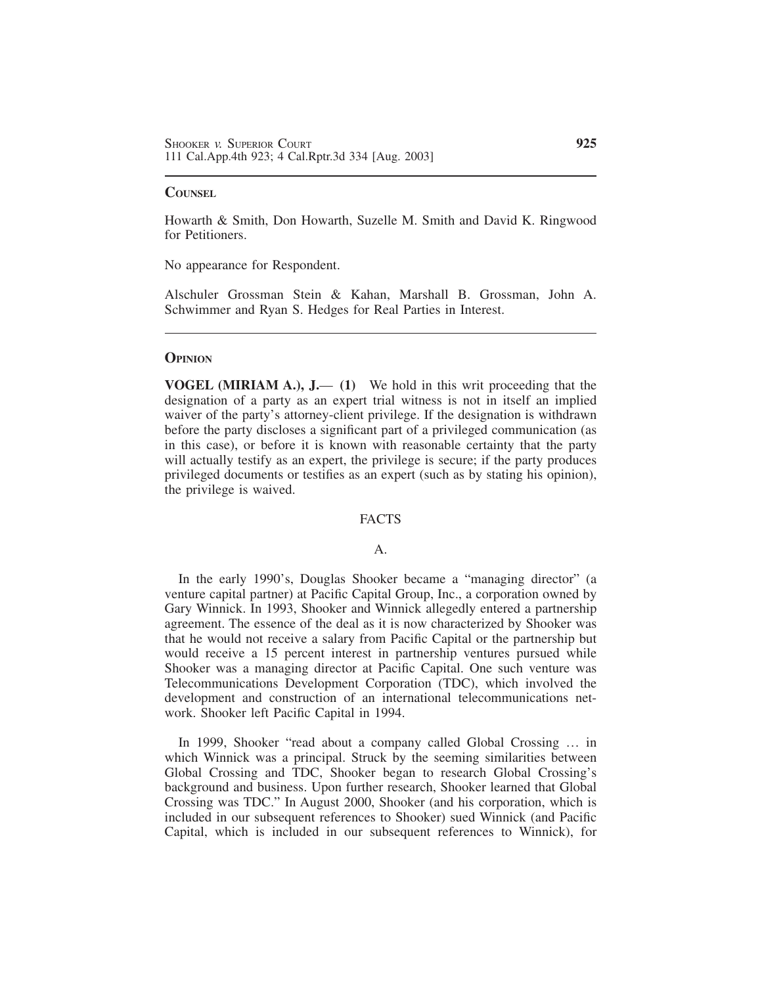### **COUNSEL**

Howarth & Smith, Don Howarth, Suzelle M. Smith and David K. Ringwood for Petitioners.

No appearance for Respondent.

Alschuler Grossman Stein & Kahan, Marshall B. Grossman, John A. Schwimmer and Ryan S. Hedges for Real Parties in Interest.

#### **OPINION**

**VOGEL (MIRIAM A.), J.**— **(1)** We hold in this writ proceeding that the designation of a party as an expert trial witness is not in itself an implied waiver of the party's attorney-client privilege. If the designation is withdrawn before the party discloses a significant part of a privileged communication (as in this case), or before it is known with reasonable certainty that the party will actually testify as an expert, the privilege is secure; if the party produces privileged documents or testifies as an expert (such as by stating his opinion), the privilege is waived.

# FACTS

# A.

In the early 1990's, Douglas Shooker became a "managing director" (a venture capital partner) at Pacific Capital Group, Inc., a corporation owned by Gary Winnick. In 1993, Shooker and Winnick allegedly entered a partnership agreement. The essence of the deal as it is now characterized by Shooker was that he would not receive a salary from Pacific Capital or the partnership but would receive a 15 percent interest in partnership ventures pursued while Shooker was a managing director at Pacific Capital. One such venture was Telecommunications Development Corporation (TDC), which involved the development and construction of an international telecommunications network. Shooker left Pacific Capital in 1994.

In 1999, Shooker "read about a company called Global Crossing … in which Winnick was a principal. Struck by the seeming similarities between Global Crossing and TDC, Shooker began to research Global Crossing's background and business. Upon further research, Shooker learned that Global Crossing was TDC." In August 2000, Shooker (and his corporation, which is included in our subsequent references to Shooker) sued Winnick (and Pacific Capital, which is included in our subsequent references to Winnick), for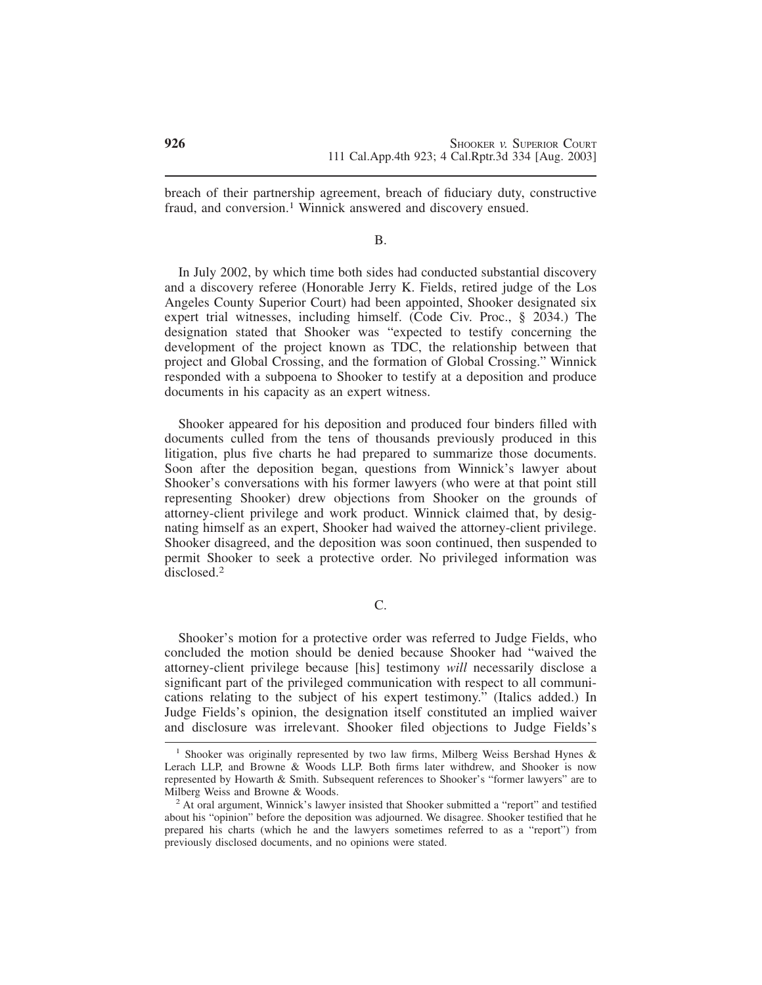breach of their partnership agreement, breach of fiduciary duty, constructive fraud, and conversion.<sup>1</sup> Winnick answered and discovery ensued.

### B.

In July 2002, by which time both sides had conducted substantial discovery and a discovery referee (Honorable Jerry K. Fields, retired judge of the Los Angeles County Superior Court) had been appointed, Shooker designated six expert trial witnesses, including himself. (Code Civ. Proc., § 2034.) The designation stated that Shooker was "expected to testify concerning the development of the project known as TDC, the relationship between that project and Global Crossing, and the formation of Global Crossing." Winnick responded with a subpoena to Shooker to testify at a deposition and produce documents in his capacity as an expert witness.

Shooker appeared for his deposition and produced four binders filled with documents culled from the tens of thousands previously produced in this litigation, plus five charts he had prepared to summarize those documents. Soon after the deposition began, questions from Winnick's lawyer about Shooker's conversations with his former lawyers (who were at that point still representing Shooker) drew objections from Shooker on the grounds of attorney-client privilege and work product. Winnick claimed that, by designating himself as an expert, Shooker had waived the attorney-client privilege. Shooker disagreed, and the deposition was soon continued, then suspended to permit Shooker to seek a protective order. No privileged information was disclosed.2

C.

Shooker's motion for a protective order was referred to Judge Fields, who concluded the motion should be denied because Shooker had "waived the attorney-client privilege because [his] testimony *will* necessarily disclose a significant part of the privileged communication with respect to all communications relating to the subject of his expert testimony." (Italics added.) In Judge Fields's opinion, the designation itself constituted an implied waiver and disclosure was irrelevant. Shooker filed objections to Judge Fields's

<sup>&</sup>lt;sup>1</sup> Shooker was originally represented by two law firms, Milberg Weiss Bershad Hynes & Lerach LLP, and Browne & Woods LLP. Both firms later withdrew, and Shooker is now represented by Howarth & Smith. Subsequent references to Shooker's "former lawyers" are to Milberg Weiss and Browne & Woods.

 $<sup>2</sup>$  At oral argument, Winnick's lawyer insisted that Shooker submitted a "report" and testified</sup> about his "opinion" before the deposition was adjourned. We disagree. Shooker testified that he prepared his charts (which he and the lawyers sometimes referred to as a "report") from previously disclosed documents, and no opinions were stated.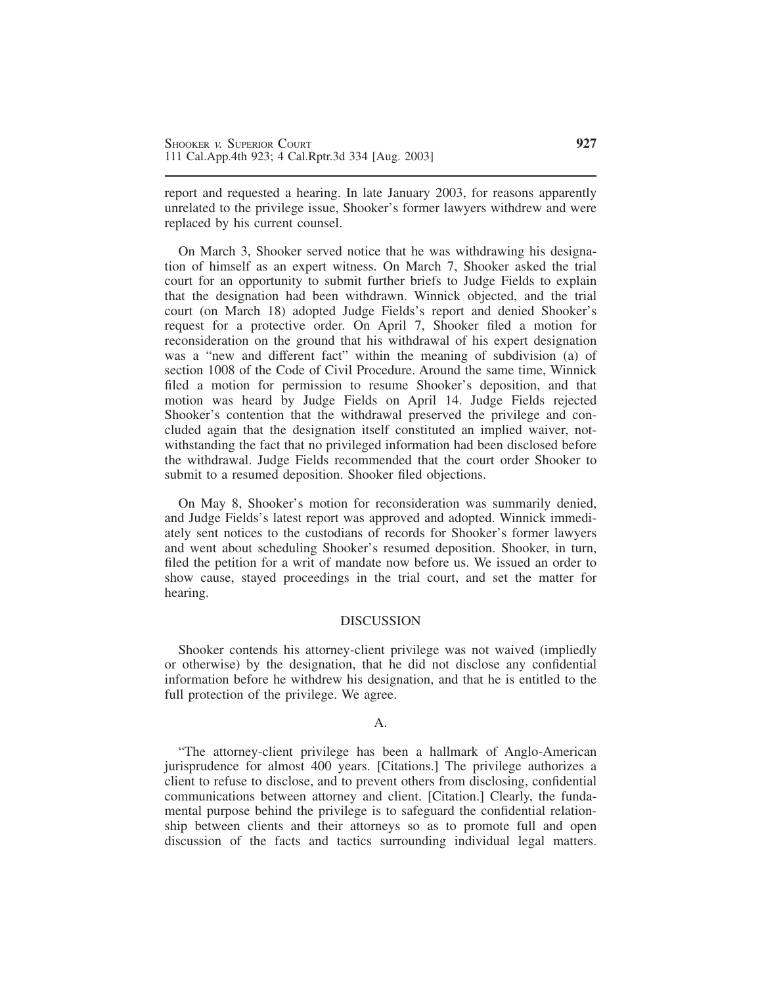report and requested a hearing. In late January 2003, for reasons apparently unrelated to the privilege issue, Shooker's former lawyers withdrew and were replaced by his current counsel.

On March 3, Shooker served notice that he was withdrawing his designation of himself as an expert witness. On March 7, Shooker asked the trial court for an opportunity to submit further briefs to Judge Fields to explain that the designation had been withdrawn. Winnick objected, and the trial court (on March 18) adopted Judge Fields's report and denied Shooker's request for a protective order. On April 7, Shooker filed a motion for reconsideration on the ground that his withdrawal of his expert designation was a "new and different fact" within the meaning of subdivision (a) of section 1008 of the Code of Civil Procedure. Around the same time, Winnick filed a motion for permission to resume Shooker's deposition, and that motion was heard by Judge Fields on April 14. Judge Fields rejected Shooker's contention that the withdrawal preserved the privilege and concluded again that the designation itself constituted an implied waiver, notwithstanding the fact that no privileged information had been disclosed before the withdrawal. Judge Fields recommended that the court order Shooker to submit to a resumed deposition. Shooker filed objections.

On May 8, Shooker's motion for reconsideration was summarily denied, and Judge Fields's latest report was approved and adopted. Winnick immediately sent notices to the custodians of records for Shooker's former lawyers and went about scheduling Shooker's resumed deposition. Shooker, in turn, filed the petition for a writ of mandate now before us. We issued an order to show cause, stayed proceedings in the trial court, and set the matter for hearing.

#### DISCUSSION

Shooker contends his attorney-client privilege was not waived (impliedly or otherwise) by the designation, that he did not disclose any confidential information before he withdrew his designation, and that he is entitled to the full protection of the privilege. We agree.

#### $A<sub>1</sub>$

"The attorney-client privilege has been a hallmark of Anglo-American jurisprudence for almost 400 years. [Citations.] The privilege authorizes a client to refuse to disclose, and to prevent others from disclosing, confidential communications between attorney and client. [Citation.] Clearly, the fundamental purpose behind the privilege is to safeguard the confidential relationship between clients and their attorneys so as to promote full and open discussion of the facts and tactics surrounding individual legal matters.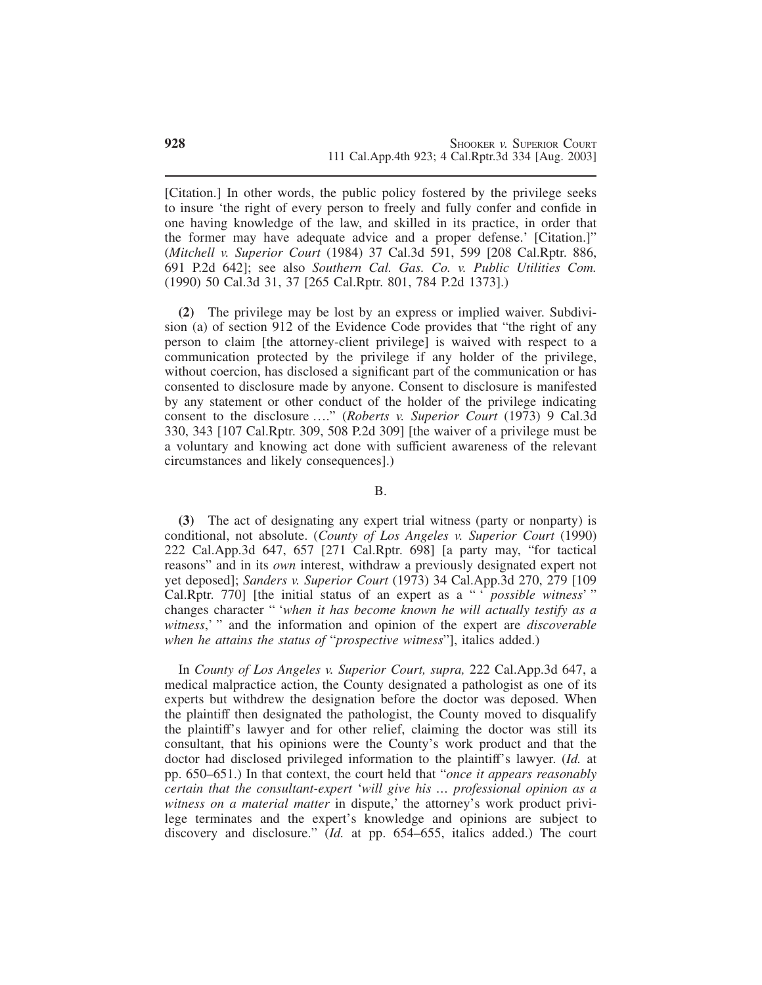[Citation.] In other words, the public policy fostered by the privilege seeks to insure 'the right of every person to freely and fully confer and confide in one having knowledge of the law, and skilled in its practice, in order that the former may have adequate advice and a proper defense.' [Citation.]" (*Mitchell v. Superior Court* (1984) 37 Cal.3d 591, 599 [208 Cal.Rptr. 886, 691 P.2d 642]; see also *Southern Cal. Gas. Co. v. Public Utilities Com.* (1990) 50 Cal.3d 31, 37 [265 Cal.Rptr. 801, 784 P.2d 1373].)

**(2)** The privilege may be lost by an express or implied waiver. Subdivision (a) of section 912 of the Evidence Code provides that "the right of any person to claim [the attorney-client privilege] is waived with respect to a communication protected by the privilege if any holder of the privilege, without coercion, has disclosed a significant part of the communication or has consented to disclosure made by anyone. Consent to disclosure is manifested by any statement or other conduct of the holder of the privilege indicating consent to the disclosure …." (*Roberts v. Superior Court* (1973) 9 Cal.3d 330, 343 [107 Cal.Rptr. 309, 508 P.2d 309] [the waiver of a privilege must be a voluntary and knowing act done with sufficient awareness of the relevant circumstances and likely consequences].)

B.

**(3)** The act of designating any expert trial witness (party or nonparty) is conditional, not absolute. (*County of Los Angeles v. Superior Court* (1990) 222 Cal.App.3d 647, 657 [271 Cal.Rptr. 698] [a party may, "for tactical reasons" and in its *own* interest, withdraw a previously designated expert not yet deposed]; *Sanders v. Superior Court* (1973) 34 Cal.App.3d 270, 279 [109 Cal.Rptr. 770] [the initial status of an expert as a " ' *possible witness*' " changes character " '*when it has become known he will actually testify as a witness*,' " and the information and opinion of the expert are *discoverable when he attains the status of* "*prospective witness*"], italics added.)

In *County of Los Angeles v. Superior Court, supra,* 222 Cal.App.3d 647, a medical malpractice action, the County designated a pathologist as one of its experts but withdrew the designation before the doctor was deposed. When the plaintiff then designated the pathologist, the County moved to disqualify the plaintiff's lawyer and for other relief, claiming the doctor was still its consultant, that his opinions were the County's work product and that the doctor had disclosed privileged information to the plaintiff's lawyer. (*Id.* at pp. 650–651.) In that context, the court held that "*once it appears reasonably certain that the consultant-expert* '*will give his … professional opinion as a witness on a material matter* in dispute,' the attorney's work product privilege terminates and the expert's knowledge and opinions are subject to discovery and disclosure." (*Id.* at pp. 654–655, italics added.) The court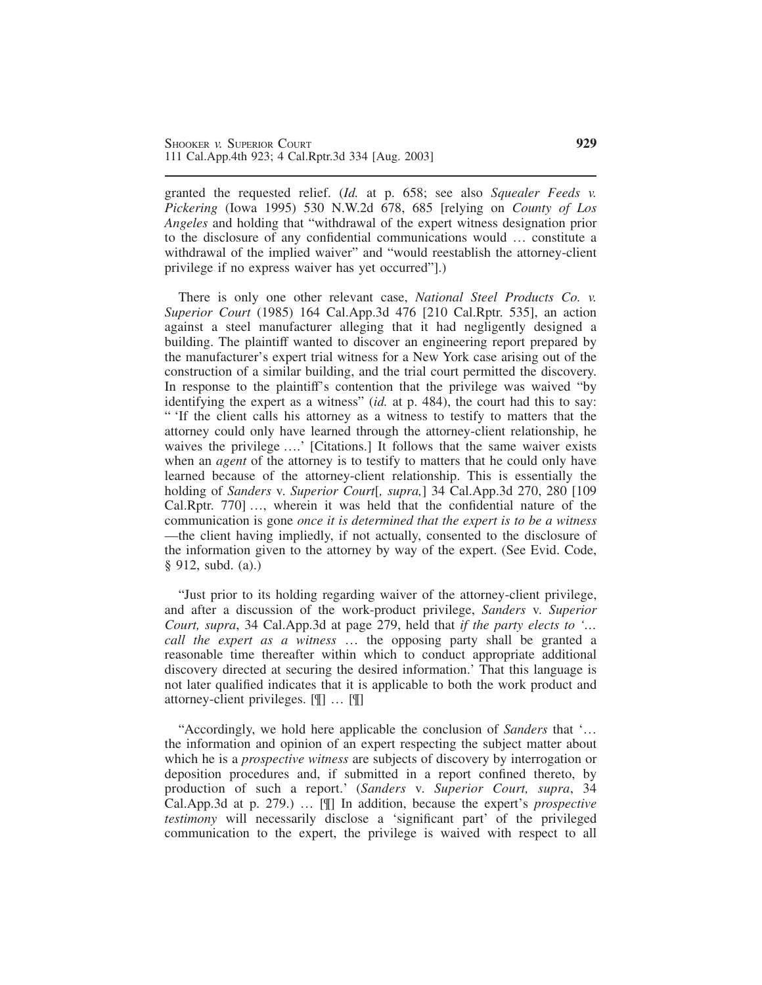granted the requested relief. (*Id.* at p. 658; see also *Squealer Feeds v. Pickering* (Iowa 1995) 530 N.W.2d 678, 685 [relying on *County of Los Angeles* and holding that "withdrawal of the expert witness designation prior to the disclosure of any confidential communications would … constitute a withdrawal of the implied waiver" and "would reestablish the attorney-client privilege if no express waiver has yet occurred"].)

There is only one other relevant case, *National Steel Products Co. v. Superior Court* (1985) 164 Cal.App.3d 476 [210 Cal.Rptr. 535], an action against a steel manufacturer alleging that it had negligently designed a building. The plaintiff wanted to discover an engineering report prepared by the manufacturer's expert trial witness for a New York case arising out of the construction of a similar building, and the trial court permitted the discovery. In response to the plaintiff's contention that the privilege was waived "by identifying the expert as a witness" (*id.* at p. 484), the court had this to say: " 'If the client calls his attorney as a witness to testify to matters that the attorney could only have learned through the attorney-client relationship, he waives the privilege ….' [Citations.] It follows that the same waiver exists when an *agent* of the attorney is to testify to matters that he could only have learned because of the attorney-client relationship. This is essentially the holding of *Sanders* v. *Superior Court*[*, supra,*] 34 Cal.App.3d 270, 280 [109 Cal.Rptr. 770] …, wherein it was held that the confidential nature of the communication is gone *once it is determined that the expert is to be a witness* —the client having impliedly, if not actually, consented to the disclosure of the information given to the attorney by way of the expert. (See Evid. Code, § 912, subd. (a).)

"Just prior to its holding regarding waiver of the attorney-client privilege, and after a discussion of the work-product privilege, *Sanders* v. *Superior Court, supra*, 34 Cal.App.3d at page 279, held that *if the party elects to '… call the expert as a witness* … the opposing party shall be granted a reasonable time thereafter within which to conduct appropriate additional discovery directed at securing the desired information.' That this language is not later qualified indicates that it is applicable to both the work product and attorney-client privileges. [¶] … [¶]

"Accordingly, we hold here applicable the conclusion of *Sanders* that '… the information and opinion of an expert respecting the subject matter about which he is a *prospective witness* are subjects of discovery by interrogation or deposition procedures and, if submitted in a report confined thereto, by production of such a report.' (*Sanders* v. *Superior Court, supra*, 34 Cal.App.3d at p. 279.) … [¶] In addition, because the expert's *prospective testimony* will necessarily disclose a 'significant part' of the privileged communication to the expert, the privilege is waived with respect to all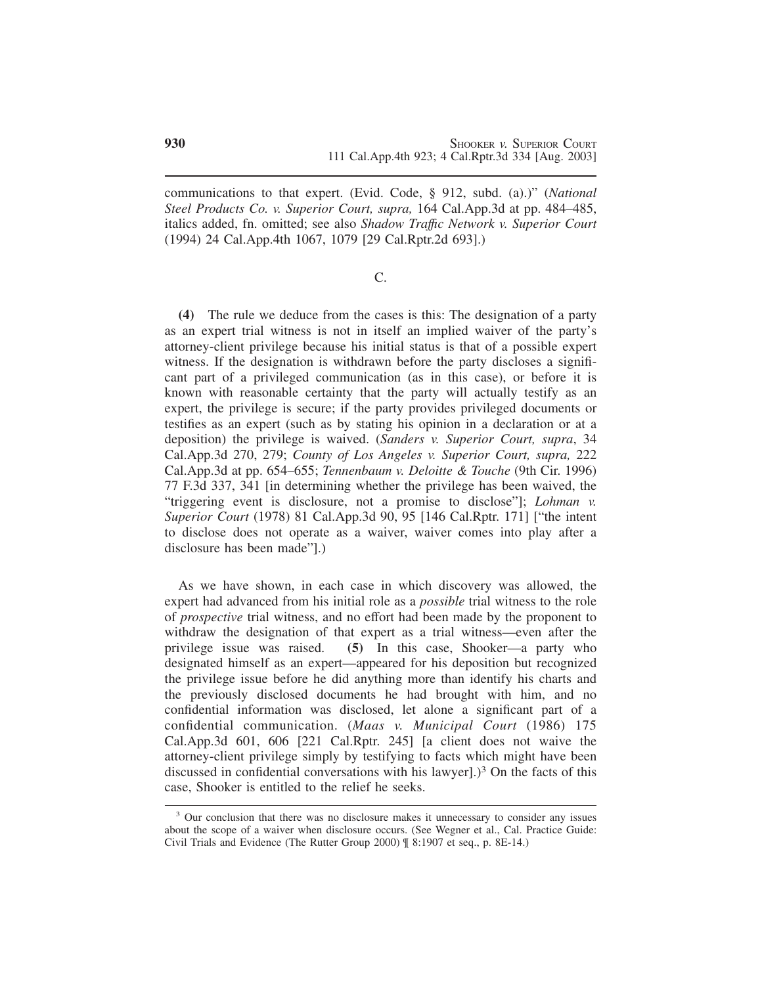communications to that expert. (Evid. Code, § 912, subd. (a).)" (*National Steel Products Co. v. Superior Court, supra,* 164 Cal.App.3d at pp. 484–485, italics added, fn. omitted; see also *Shadow Traffıc Network v. Superior Court* (1994) 24 Cal.App.4th 1067, 1079 [29 Cal.Rptr.2d 693].)

C.

**(4)** The rule we deduce from the cases is this: The designation of a party as an expert trial witness is not in itself an implied waiver of the party's attorney-client privilege because his initial status is that of a possible expert witness. If the designation is withdrawn before the party discloses a significant part of a privileged communication (as in this case), or before it is known with reasonable certainty that the party will actually testify as an expert, the privilege is secure; if the party provides privileged documents or testifies as an expert (such as by stating his opinion in a declaration or at a deposition) the privilege is waived. (*Sanders v. Superior Court, supra*, 34 Cal.App.3d 270, 279; *County of Los Angeles v. Superior Court, supra,* 222 Cal.App.3d at pp. 654–655; *Tennenbaum v. Deloitte & Touche* (9th Cir. 1996) 77 F.3d 337, 341 [in determining whether the privilege has been waived, the "triggering event is disclosure, not a promise to disclose"]; *Lohman v. Superior Court* (1978) 81 Cal.App.3d 90, 95 [146 Cal.Rptr. 171] ["the intent to disclose does not operate as a waiver, waiver comes into play after a disclosure has been made"].)

As we have shown, in each case in which discovery was allowed, the expert had advanced from his initial role as a *possible* trial witness to the role of *prospective* trial witness, and no effort had been made by the proponent to withdraw the designation of that expert as a trial witness—even after the privilege issue was raised. **(5)** In this case, Shooker—a party who designated himself as an expert—appeared for his deposition but recognized the privilege issue before he did anything more than identify his charts and the previously disclosed documents he had brought with him, and no confidential information was disclosed, let alone a significant part of a confidential communication. (*Maas v. Municipal Court* (1986) 175 Cal.App.3d 601, 606 [221 Cal.Rptr. 245] [a client does not waive the attorney-client privilege simply by testifying to facts which might have been discussed in confidential conversations with his lawyer].)<sup>3</sup> On the facts of this case, Shooker is entitled to the relief he seeks.

<sup>&</sup>lt;sup>3</sup> Our conclusion that there was no disclosure makes it unnecessary to consider any issues about the scope of a waiver when disclosure occurs. (See Wegner et al., Cal. Practice Guide: Civil Trials and Evidence (The Rutter Group 2000) ¶ 8:1907 et seq., p. 8E-14.)